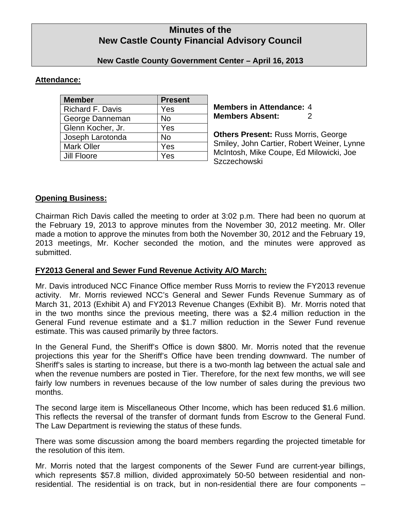# **Minutes of the New Castle County Financial Advisory Council**

## **New Castle County Government Center – April 16, 2013**

### **Attendance:**

| <b>Member</b>           | <b>Present</b> |
|-------------------------|----------------|
| <b>Richard F. Davis</b> | Yes            |
| George Danneman         | No             |
| Glenn Kocher, Jr.       | Yes            |
| Joseph Larotonda        | No             |
| <b>Mark Oller</b>       | Yes            |
| Jill Floore             | Yes            |

**Members in Attendance:** 4 **Members Absent:** 2

**Others Present:** Russ Morris, George Smiley, John Cartier, Robert Weiner, Lynne McIntosh, Mike Coupe, Ed Milowicki, Joe **Szczechowski** 

### **Opening Business:**

Chairman Rich Davis called the meeting to order at 3:02 p.m. There had been no quorum at the February 19, 2013 to approve minutes from the November 30, 2012 meeting. Mr. Oller made a motion to approve the minutes from both the November 30, 2012 and the February 19, 2013 meetings, Mr. Kocher seconded the motion, and the minutes were approved as submitted.

## **FY2013 General and Sewer Fund Revenue Activity A/O March:**

Mr. Davis introduced NCC Finance Office member Russ Morris to review the FY2013 revenue activity. Mr. Morris reviewed NCC's General and Sewer Funds Revenue Summary as of March 31, 2013 (Exhibit A) and FY2013 Revenue Changes (Exhibit B). Mr. Morris noted that in the two months since the previous meeting, there was a \$2.4 million reduction in the General Fund revenue estimate and a \$1.7 million reduction in the Sewer Fund revenue estimate. This was caused primarily by three factors.

In the General Fund, the Sheriff's Office is down \$800. Mr. Morris noted that the revenue projections this year for the Sheriff's Office have been trending downward. The number of Sheriff's sales is starting to increase, but there is a two-month lag between the actual sale and when the revenue numbers are posted in Tier. Therefore, for the next few months, we will see fairly low numbers in revenues because of the low number of sales during the previous two months.

The second large item is Miscellaneous Other Income, which has been reduced \$1.6 million. This reflects the reversal of the transfer of dormant funds from Escrow to the General Fund. The Law Department is reviewing the status of these funds.

There was some discussion among the board members regarding the projected timetable for the resolution of this item.

Mr. Morris noted that the largest components of the Sewer Fund are current-year billings, which represents \$57.8 million, divided approximately 50-50 between residential and nonresidential. The residential is on track, but in non-residential there are four components –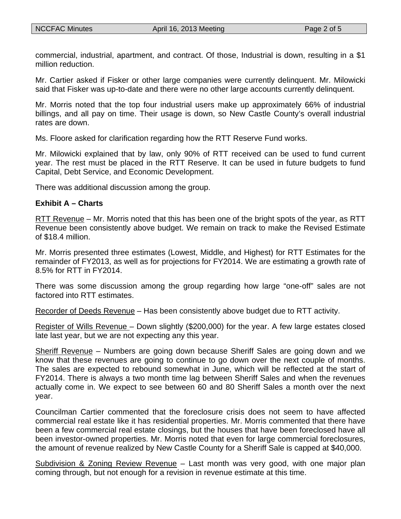commercial, industrial, apartment, and contract. Of those, Industrial is down, resulting in a \$1 million reduction.

Mr. Cartier asked if Fisker or other large companies were currently delinquent. Mr. Milowicki said that Fisker was up-to-date and there were no other large accounts currently delinquent.

Mr. Morris noted that the top four industrial users make up approximately 66% of industrial billings, and all pay on time. Their usage is down, so New Castle County's overall industrial rates are down.

Ms. Floore asked for clarification regarding how the RTT Reserve Fund works.

Mr. Milowicki explained that by law, only 90% of RTT received can be used to fund current year. The rest must be placed in the RTT Reserve. It can be used in future budgets to fund Capital, Debt Service, and Economic Development.

There was additional discussion among the group.

### **Exhibit A – Charts**

RTT Revenue – Mr. Morris noted that this has been one of the bright spots of the year, as RTT Revenue been consistently above budget. We remain on track to make the Revised Estimate of \$18.4 million.

Mr. Morris presented three estimates (Lowest, Middle, and Highest) for RTT Estimates for the remainder of FY2013, as well as for projections for FY2014. We are estimating a growth rate of 8.5% for RTT in FY2014.

There was some discussion among the group regarding how large "one-off" sales are not factored into RTT estimates.

Recorder of Deeds Revenue – Has been consistently above budget due to RTT activity.

Register of Wills Revenue – Down slightly (\$200,000) for the year. A few large estates closed late last year, but we are not expecting any this year.

Sheriff Revenue – Numbers are going down because Sheriff Sales are going down and we know that these revenues are going to continue to go down over the next couple of months. The sales are expected to rebound somewhat in June, which will be reflected at the start of FY2014. There is always a two month time lag between Sheriff Sales and when the revenues actually come in. We expect to see between 60 and 80 Sheriff Sales a month over the next year.

Councilman Cartier commented that the foreclosure crisis does not seem to have affected commercial real estate like it has residential properties. Mr. Morris commented that there have been a few commercial real estate closings, but the houses that have been foreclosed have all been investor-owned properties. Mr. Morris noted that even for large commercial foreclosures, the amount of revenue realized by New Castle County for a Sheriff Sale is capped at \$40,000.

Subdivision & Zoning Review Revenue – Last month was very good, with one major plan coming through, but not enough for a revision in revenue estimate at this time.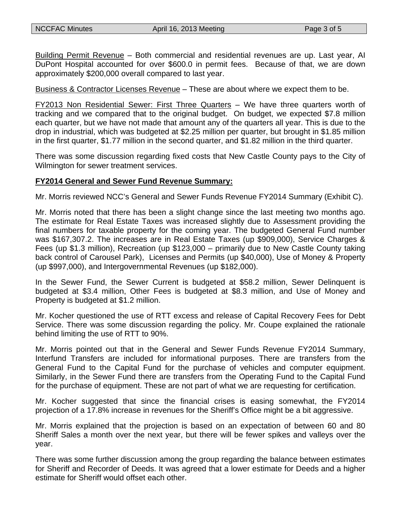Building Permit Revenue – Both commercial and residential revenues are up. Last year, AI DuPont Hospital accounted for over \$600.0 in permit fees. Because of that, we are down approximately \$200,000 overall compared to last year.

Business & Contractor Licenses Revenue – These are about where we expect them to be.

FY2013 Non Residential Sewer: First Three Quarters – We have three quarters worth of tracking and we compared that to the original budget. On budget, we expected \$7.8 million each quarter, but we have not made that amount any of the quarters all year. This is due to the drop in industrial, which was budgeted at \$2.25 million per quarter, but brought in \$1.85 million in the first quarter, \$1.77 million in the second quarter, and \$1.82 million in the third quarter.

There was some discussion regarding fixed costs that New Castle County pays to the City of Wilmington for sewer treatment services.

### **FY2014 General and Sewer Fund Revenue Summary:**

Mr. Morris reviewed NCC's General and Sewer Funds Revenue FY2014 Summary (Exhibit C).

Mr. Morris noted that there has been a slight change since the last meeting two months ago. The estimate for Real Estate Taxes was increased slightly due to Assessment providing the final numbers for taxable property for the coming year. The budgeted General Fund number was \$167,307.2. The increases are in Real Estate Taxes (up \$909,000), Service Charges & Fees (up \$1.3 million), Recreation (up \$123,000 – primarily due to New Castle County taking back control of Carousel Park), Licenses and Permits (up \$40,000), Use of Money & Property (up \$997,000), and Intergovernmental Revenues (up \$182,000).

In the Sewer Fund, the Sewer Current is budgeted at \$58.2 million, Sewer Delinquent is budgeted at \$3.4 million, Other Fees is budgeted at \$8.3 million, and Use of Money and Property is budgeted at \$1.2 million.

Mr. Kocher questioned the use of RTT excess and release of Capital Recovery Fees for Debt Service. There was some discussion regarding the policy. Mr. Coupe explained the rationale behind limiting the use of RTT to 90%.

Mr. Morris pointed out that in the General and Sewer Funds Revenue FY2014 Summary, Interfund Transfers are included for informational purposes. There are transfers from the General Fund to the Capital Fund for the purchase of vehicles and computer equipment. Similarly, in the Sewer Fund there are transfers from the Operating Fund to the Capital Fund for the purchase of equipment. These are not part of what we are requesting for certification.

Mr. Kocher suggested that since the financial crises is easing somewhat, the FY2014 projection of a 17.8% increase in revenues for the Sheriff's Office might be a bit aggressive.

Mr. Morris explained that the projection is based on an expectation of between 60 and 80 Sheriff Sales a month over the next year, but there will be fewer spikes and valleys over the year.

There was some further discussion among the group regarding the balance between estimates for Sheriff and Recorder of Deeds. It was agreed that a lower estimate for Deeds and a higher estimate for Sheriff would offset each other.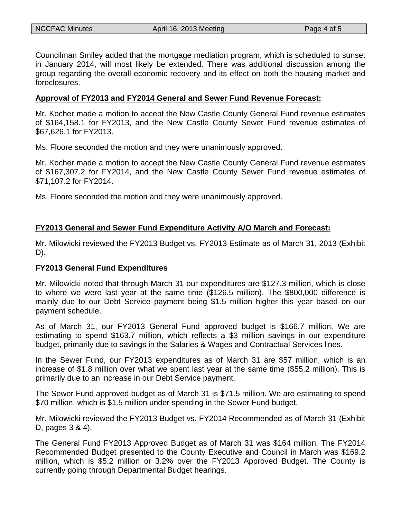Councilman Smiley added that the mortgage mediation program, which is scheduled to sunset in January 2014, will most likely be extended. There was additional discussion among the group regarding the overall economic recovery and its effect on both the housing market and foreclosures.

#### **Approval of FY2013 and FY2014 General and Sewer Fund Revenue Forecast:**

Mr. Kocher made a motion to accept the New Castle County General Fund revenue estimates of \$164,158.1 for FY2013, and the New Castle County Sewer Fund revenue estimates of \$67,626.1 for FY2013.

Ms. Floore seconded the motion and they were unanimously approved.

Mr. Kocher made a motion to accept the New Castle County General Fund revenue estimates of \$167,307.2 for FY2014, and the New Castle County Sewer Fund revenue estimates of \$71,107.2 for FY2014.

Ms. Floore seconded the motion and they were unanimously approved.

### **FY2013 General and Sewer Fund Expenditure Activity A/O March and Forecast:**

Mr. Milowicki reviewed the FY2013 Budget vs. FY2013 Estimate as of March 31, 2013 (Exhibit D).

#### **FY2013 General Fund Expenditures**

Mr. Milowicki noted that through March 31 our expenditures are \$127.3 million, which is close to where we were last year at the same time (\$126.5 million). The \$800,000 difference is mainly due to our Debt Service payment being \$1.5 million higher this year based on our payment schedule.

As of March 31, our FY2013 General Fund approved budget is \$166.7 million. We are estimating to spend \$163.7 million, which reflects a \$3 million savings in our expenditure budget, primarily due to savings in the Salaries & Wages and Contractual Services lines.

In the Sewer Fund, our FY2013 expenditures as of March 31 are \$57 million, which is an increase of \$1.8 million over what we spent last year at the same time (\$55.2 million). This is primarily due to an increase in our Debt Service payment.

The Sewer Fund approved budget as of March 31 is \$71.5 million. We are estimating to spend \$70 million, which is \$1.5 million under spending in the Sewer Fund budget.

Mr. Milowicki reviewed the FY2013 Budget vs. FY2014 Recommended as of March 31 (Exhibit D, pages 3 & 4).

The General Fund FY2013 Approved Budget as of March 31 was \$164 million. The FY2014 Recommended Budget presented to the County Executive and Council in March was \$169.2 million, which is \$5.2 million or 3.2% over the FY2013 Approved Budget. The County is currently going through Departmental Budget hearings.